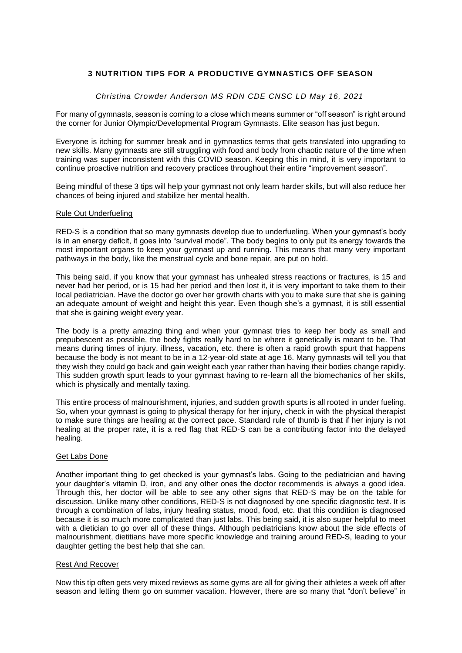# **3 NUTRITION TIPS FOR A PRODUCTIVE GYMNASTICS OFF SEASON**

### *Christina Crowder [Anderson](https://christinaandersonrdn.com/author/crowder-christina-m/) MS RDN CDE CNSC LD May 16, 2021*

For many of gymnasts, season is coming to a close which means summer or "off season" is right around the corner for Junior Olympic/Developmental Program Gymnasts. Elite season has just begun.

Everyone is itching for summer break and in gymnastics terms that gets translated into upgrading to new skills. Many gymnasts are still struggling with food and body from chaotic nature of the time when training was super inconsistent with this COVID season. Keeping this in mind, it is very important to continue proactive nutrition and recovery practices throughout their entire "improvement season".

Being mindful of these 3 tips will help your gymnast not only learn harder skills, but will also reduce her chances of being injured and stabilize her mental health.

#### Rule Out Underfueling

RED-S is a condition that so many gymnasts develop due to [underfueling.](http://-https/christinaandersonrdn.com/does-your-gymnast-have-relative-energy-deficiency-in-sport-red-s/) When your gymnast's body is in an energy deficit, it goes into "survival mode". The body begins to only put its energy towards the most important organs to keep your gymnast up and running. This means that many very important pathways in the body, like the menstrual cycle and bone repair, are put on hold.

This being said, if you know that your gymnast has unhealed stress reactions or fractures, is 15 [and](https://yourdaye.com/vitals/womens-health/relative-energy-deficiency-in-sport) never had her [period,](https://yourdaye.com/vitals/womens-health/relative-energy-deficiency-in-sport) or is 15 had her period and then lost it, it is very important to take them to their local pediatrician. Have the doctor go over her growth charts with you to make sure that she is gaining an adequate amount of weight and height this year. Even though she's a gymnast, it is still essential that she is gaining weight every year.

The body is a pretty amazing thing and when your gymnast tries to keep her body as small and prepubescent as possible, the body fights really hard to be where it genetically is meant to be. That means during times of injury, illness, vacation, etc. there is often a rapid growth spurt that happens because the body is not meant to be in a 12-year-old state at age 16. Many gymnasts will tell you that they wish they could go back and gain [weight](http://-https/www.christinaandersonrdn.com/healthy-weight-gain-for-the-gymnast/) each year rather than having their bodies change rapidly. This sudden growth spurt leads to your gymnast having to re-learn all the biomechanics of her skills, which is physically and mentally taxing.

This entire process of malnourishment, injuries, and sudden growth spurts is all rooted in under fueling. So, when your gymnast is going to physical therapy for her injury, check in with the physical therapist to make sure things are healing at the correct pace. Standard rule of thumb is that if her injury is not healing at the proper rate, it is a red flag that RED-S can be a contributing factor into the delayed healing.

## Get Labs Done

Another important thing to get checked is your gymnast's labs. Going to the pediatrician and having your daughter's vitamin D, iron, and any other ones the doctor recommends is always a good idea. Through this, her doctor will be able to see any other signs that RED-S may be on the table for discussion. Unlike many other conditions, RED-S is not diagnosed by one specific diagnostic test. It is through a combination of labs, injury healing status, mood, food, etc. that this condition is diagnosed because it is so much more complicated than just labs. This being said, it is also super helpful to meet with a dietician to go over all of these things. Although pediatricians know about the side effects of malnourishment, dietitians have more specific [knowledge](https://www.verywellmind.com/eating-disorder-dietitians-an-overview-1138351) and training around RED-S, leading to your daughter getting the best help that she can.

### Rest And Recover

Now this tip often gets very mixed reviews as some gyms are all for giving their athletes a week off after season and letting them go on summer vacation. However, there are so many that "don't believe" in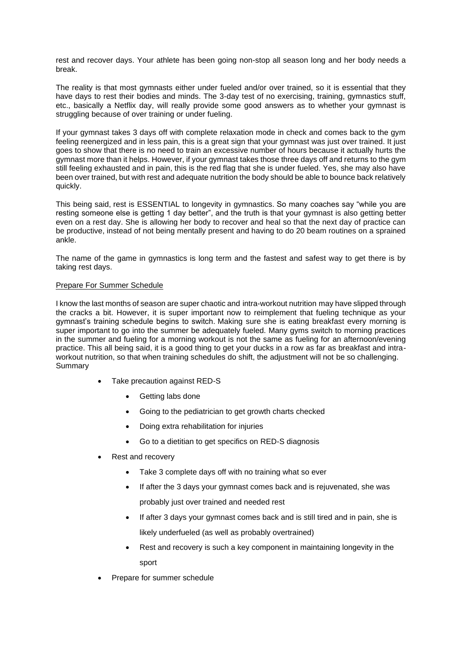rest and recover days. Your athlete has been going non-stop all season long and her body needs a break.

The reality is that most [gymnasts](http://-https/www.christinaandersonrdn.com/how-to-fuel-the-gymnast-on-days-off-gym/?utm_source=rss&utm_medium=rss&utm_campaign=how-to-fuel-the-gymnast-on-days-off-gym) either under fueled and/or over trained, so it is essential that they have days to rest their bodies and minds. The 3-day test of no exercising, training, gymnastics stuff, etc., basically a Netflix day, will really provide some good answers as to whether your gymnast is struggling because of over training or under fueling.

If your gymnast takes 3 days off with complete relaxation mode in check and comes back to the gym feeling reenergized and in less pain, this is a great sign that your gymnast was just over trained. It just goes to show that there is no need to train an excessive number of hours because it actually hurts the gymnast more than it helps. However, if your gymnast takes those three days off and returns to the gym still feeling exhausted and in pain, this is the red flag that she is under fueled. Yes, she may also have been over trained, but with rest and adequate nutrition the body should be able to bounce back relatively quickly.

This being said, rest is [ESSENTIAL](https://www.theactivetimes.com/why-rest-days-are-just-important-working-out) to longevity in gymnastics. So many coaches say "while you are resting someone else is getting 1 day better", and the truth is that your gymnast is also getting better even on a rest day. She is allowing her body to recover and heal so that the next day of practice can be productive, instead of not being mentally present and having to do 20 beam routines on a sprained ankle.

The name of the game in gymnastics is long term and the fastest and safest way to get there is by taking rest days.

### Prepare For Summer Schedule

I know the last months of season are super chaotic and [intra-workout](http://-https/www.christinaandersonrdn.com/top-3-mistakes-gymnasts-make-with-intraworkout-nutrition/) nutrition may have slipped through the cracks a bit. However, it is super important now to reimplement that fueling technique as your gymnast's training schedule begins to switch. Making sure she is eating [breakfast](https://www.sciencedirect.com/science/article/pii/S1878450X17300045) every morning is super [important](https://www.sciencedirect.com/science/article/pii/S1878450X17300045) to go into the summer be adequately fueled. Many gyms switch to morning practices in the summer and fueling for a morning workout is not the same as fueling for an afternoon/evening practice. This all being said, it is a good thing to get your ducks in a row as far as breakfast and intraworkout nutrition, so that when training schedules do shift, the adjustment will not be so challenging. Summary

- Take precaution against RED-S
	- Getting labs done
	- Going to the pediatrician to get growth charts checked
	- Doing extra rehabilitation for injuries
	- Go to a dietitian to get specifics on RED-S diagnosis
- Rest and recovery
	- Take 3 complete days off with no training what so ever
	- If after the 3 days your gymnast comes back and is rejuvenated, she was probably just over trained and needed rest
	- If after 3 days your gymnast comes back and is still tired and in pain, she is likely underfueled (as well as probably overtrained)
	- Rest and recovery is such a key component in maintaining longevity in the sport
- Prepare for summer schedule